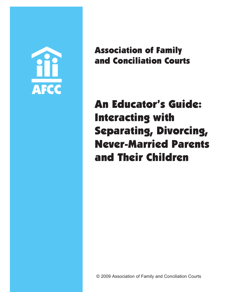

Association of Family and Conciliation Courts

An Educator's Guide: Interacting with Separating, Divorcing, Never-Married Parents and Their Children

© 2009 Association of Family and Conciliation Courts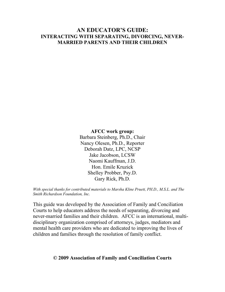## **AN EDUCATOR'S GUIDE: INTERACTING WITH SEPARATING, DIVORCING, NEVER-MARRIED PARENTS AND THEIR CHILDREN**

#### **AFCC work group:**

Barbara Steinberg, Ph.D., Chair Nancy Olesen, Ph.D., Reporter Deborah Datz, LPC, NCSP Jake Jacobson, LCSW Naomi Kauffman, J.D. Hon. Emile Kruzick Shelley Probber, Psy.D. Gary Rick, Ph.D.

*With special thanks for contributed materials to Marsha Kline Pruett, PH.D., M.S.L. and The Smith Richardson Foundation, Inc.* 

This guide was developed by the Association of Family and Conciliation Courts to help educators address the needs of separating, divorcing and never-married families and their children. AFCC is an international, multidisciplinary organization comprised of attorneys, judges, mediators and mental health care providers who are dedicated to improving the lives of children and families through the resolution of family conflict.

## **© 2009 Association of Family and Conciliation Courts**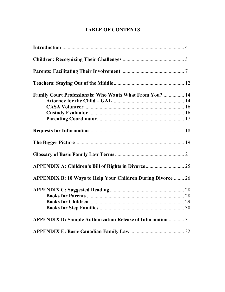# **TABLE OF CONTENTS**

| <b>Family Court Professionals: Who Wants What From You? 14</b>      |  |
|---------------------------------------------------------------------|--|
|                                                                     |  |
|                                                                     |  |
|                                                                     |  |
|                                                                     |  |
|                                                                     |  |
|                                                                     |  |
|                                                                     |  |
| APPENDIX A: Children's Bill of Rights in Divorce  25                |  |
| <b>APPENDIX B: 10 Ways to Help Your Children During Divorce  26</b> |  |
|                                                                     |  |
|                                                                     |  |
|                                                                     |  |
|                                                                     |  |
| <b>APPENDIX D: Sample Authorization Release of Information  31</b>  |  |
|                                                                     |  |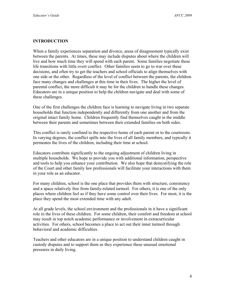#### **INTRODUCTION**

When a family experiences separation and divorce, areas of disagreement typically exist between the parents. At times, these may include disputes about where the children will live and how much time they will spend with each parent. Some families negotiate these life transitions with little overt conflict. Other families seem to go to war over these decisions, and often try to get the teachers and school officials to align themselves with one side or the other. Regardless of the level of conflict between the parents, the children face many changes and challenges at this time in their lives. The higher the level of parental conflict, the more difficult it may be for the children to handle these changes. Educators are in a unique position to help the children navigate and deal with some of these challenges.

One of the first challenges the children face is learning to navigate living in two separate households that function independently and differently from one another and from the original intact family home. Children frequently find themselves caught in the middle between their parents and sometimes between their extended families on both sides.

This conflict is rarely confined to the respective home of each parent or to the courtroom. In varying degrees, the conflict spills into the lives of all family members, and typically it permeates the lives of the children, including their time at school.

Educators contribute significantly to the ongoing adjustment of children living in multiple households. We hope to provide you with additional information, perspective and tools to help you enhance your contribution. We also hope that demystifying the role of the Court and other family law professionals will facilitate your interactions with them in your role as an educator.

For many children, school is the one place that provides them with structure, consistency and a space relatively free from family-related turmoil. For others, it is one of the only places where children feel as if they have some control over their lives. For most, it is the place they spend the most extended time with any adult.

At all grade levels, the school environment and the professionals in it have a significant role in the lives of these children. For some children, their comfort and freedom at school may result in top notch academic performance or involvement in extracurricular activities. For others, school becomes a place to act out their inner turmoil through behavioral and academic difficulties.

Teachers and other educators are in a unique position to understand children caught in custody disputes and to support them as they experience these unusual emotional pressures in daily living.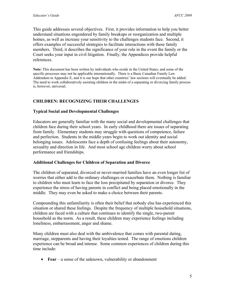This guide addresses several objectives. First, it provides information to help you better understand situations engendered by family breakups or reorganization and multiple homes, as well as increase your sensitivity to the challenges students face. Second, it offers examples of successful strategies to facilitate interactions with these family members. Third, it describes the significance of your role in the event the family or the Court seeks your input in civil litigation. Finally, the Appendices provide helpful references.

**Note:** This document has been written by individuals who reside in the United States, and some of the specific processes may not be applicable internationally. There is a Basic Canadian Family Law Addendum in Appendix E, and it is our hope that other countries' law sections will eventually be added. The need to work collaboratively assisting children in the midst of a separating or divorcing family process is, however, universal.

## **CHILDREN: RECOGNIZING THEIR CHALLENGES**

### **Typical Social and Developmental Challenges**

Educators are generally familiar with the many social and developmental challenges that children face during their school years. In early childhood there are issues of separating from family. Elementary students may struggle with questions of competence, failure and perfection. Students in the middle years begin to work out identity and social belonging issues. Adolescents face a depth of confusing feelings about their autonomy, sexuality and direction in life. And most school age children worry about school performance and friendships.

#### **Additional Challenges for Children of Separation and Divorce**

The children of separated, divorced or never-married families have an even longer list of worries that either add to the ordinary challenges or exacerbate them. Nothing is familiar to children who must learn to face the loss precipitated by separation or divorce. They experience the stress of having parents in conflict and being placed emotionally in the middle. They may even be asked to make a choice between their parents.

Compounding this unfamiliarity is often their belief that nobody else has experienced this situation or shared these feelings. Despite the frequency of multiple household situations, children are faced with a culture that continues to identify the single, two-parent household as the norm. As a result, these children may experience feelings including loneliness, embarrassment, anger and shame.

Many children must also deal with the ambivalence that comes with parental dating, marriage, stepparents and having their loyalties tested. The range of emotions children experience can be broad and intense. Some common experiences of children during this time include:

• **Fear** – a sense of the unknown, vulnerability or abandonment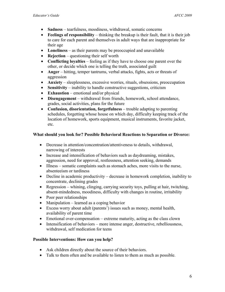- **Sadness** tearfulness, moodiness, withdrawal, somatic concerns
- **Feelings of responsibility** thinking the breakup is their fault, that it is their job to care for each parent and themselves in adult ways that are inappropriate for their age
- Loneliness as their parents may be preoccupied and unavailable
- **Rejection** questioning their self worth
- **Conflicting loyalties** feeling as if they have to choose one parent over the other, or decide which one is telling the truth, associated guilt
- **Anger** hitting, temper tantrums, verbal attacks, fights, acts or threats of aggression
- **Anxiety** sleeplessness, excessive worries, rituals, obsessions, preoccupation
- **Sensitivity** inability to handle constructive suggestions, criticism
- **Exhaustion** emotional and/or physical
- **Disengagement**  withdrawal from friends, homework, school attendance, grades, social activities, plans for the future
- **Confusion, disorientation, forgetfulness** trouble adapting to parenting schedules, forgetting whose house on which day, difficulty keeping track of the location of homework, sports equipment, musical instruments, favorite jacket, etc.

### **What should you look for? Possible Behavioral Reactions to Separation or Divorce:**

- Decrease in attention/concentration/attentiveness to details, withdrawal, narrowing of interests
- Increase and intensification of behaviors such as daydreaming, mistakes, aggression, need for approval, restlessness, attention seeking, demands
- Illness somatic complaints such as stomach aches, more visits to the nurse, absenteeism or tardiness
- Decline in academic productivity decrease in homework completion, inability to concentrate, declining grades
- Regression whining, clinging, carrying security toys, pulling at hair, twitching, absent-mindedness, moodiness, difficulty with changes in routine, irritability
- Poor peer relationships
- Manipulation learned as a coping behavior
- Excess worry about adult (parents') issues such as money, mental health, availability of parent time
- Emotional over-compensation extreme maturity, acting as the class clown
- Intensification of behaviors more intense anger, destructive, rebelliousness, withdrawal, self medication for teens

#### **Possible Interventions: How can you help?**

- Ask children directly about the source of their behaviors.
- Talk to them often and be available to listen to them as much as possible.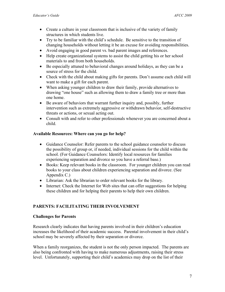- Create a culture in your classroom that is inclusive of the variety of family structures in which students live.
- Try to be familiar with the child's schedule. Be sensitive to the transition of changing households without letting it be an excuse for avoiding responsibilities.
- Avoid engaging in good parent vs. bad parent images and references.
- Help create organizational systems to assist the child getting his or her school materials to and from both households.
- Be especially attuned to behavioral changes around holidays, as they can be a source of stress for the child.
- Check with the child about making gifts for parents. Don't assume each child will want to make a gift for each parent.
- When asking younger children to draw their family, provide alternatives to drawing "one house" such as allowing them to draw a family tree or more than one home.
- Be aware of behaviors that warrant further inquiry and, possibly, further intervention such as extremely aggressive or withdrawn behavior, self-destructive threats or actions, or sexual acting out.
- Consult with and refer to other professionals whenever you are concerned about a child.

## **Available Resources: Where can you go for help?**

- Guidance Counselor: Refer parents to the school guidance counselor to discuss the possibility of group or, if needed, individual sessions for the child within the school. (For Guidance Counselors: Identify local resources for families experiencing separation and divorce so you have a referral base.)
- Books: Keep relevant books in the classroom. For younger children you can read books to your class about children experiencing separation and divorce. (See Appendix C.)
- Librarian: Ask the librarian to order relevant books for the library.
- Internet: Check the Internet for Web sites that can offer suggestions for helping these children and for helping their parents to help their own children.

## **PARENTS: FACILITATING THEIR INVOLVEMENT**

#### **Challenges for Parents**

Research clearly indicates that having parents involved in their children's education increases the likelihood of their academic success. Parental involvement in their child's school may be severely affected by their separation or divorce.

When a family reorganizes, the student is not the only person impacted. The parents are also being confronted with having to make numerous adjustments, raising their stress level. Unfortunately, supporting their child's academics may drop on the list of their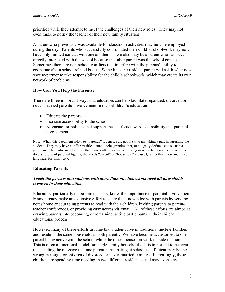priorities while they attempt to meet the challenges of their new roles. They may not even think to notify the teacher of their new family situation.

A parent who previously was available for classroom activities may now be employed during the day. Parents who successfully coordinated their child's schoolwork may now have only limited contact with one another. There also may be a parent who has never directly interacted with the school because the other parent was the school contact. Sometimes there are non-school conflicts that interfere with the parents' ability to cooperate about school related issues. Sometimes the resident parent will ask his/her new spouse/partner to take responsibility for the child's schoolwork, which may create its own network of problems.

## **How Can You Help the Parents?**

There are three important ways that educators can help facilitate separated, divorced or never-married parents' involvement in their children's education:

- Educate the parents.
- Increase accessibility to the school.
- Advocate for policies that support these efforts toward accessibility and parental involvement.

**Note:** When this document refers to "parents," it denotes the people who are taking a part in parenting the student. They may have a different title – aunt, uncle, grandmother, or a legally defined status, such as guardian. There also may be more than two adults or caregivers living in separate locations. Given this diverse group of parental figures, the words "parent" or "household" are used, rather than more inclusive language, for simplicity.

## **Educating Parents**

#### *Teach the parents that students with more than one household need all households involved in their education.*

Educators, particularly classroom teachers, know the importance of parental involvement. Many already make an extensive effort to share that knowledge with parents by sending notes home encouraging parents to read with their children, inviting parents to parentteacher conferences, or providing easy access via email. All of these efforts are aimed at drawing parents into becoming, or remaining, active participants in their child's educational process.

However, many of these efforts assume that students live in traditional nuclear families and reside in the same household as both parents. We have become accustomed to one parent being active with the school while the other focuses on work outside the home. This is often a functional model for single family households. It is important to be aware that sending the message that one parent participating at school is sufficient may be the wrong message for children of divorced or never-married families. Increasingly, these children are spending time residing in two different residences and may even stay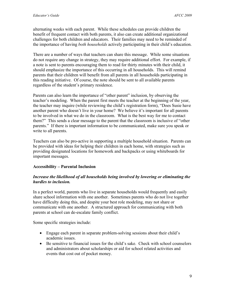alternating weeks with each parent. While these schedules can provide children the benefit of frequent contact with both parents, it also can create additional organizational challenges for both children and educators.Their families may need to be reminded of the importance of having *both households* actively participating in their child's education.

There are a number of ways that teachers can share this message. While some situations do not require any change in strategy, they may require additional effort. For example, if a note is sent to parents encouraging them to read for thirty minutes with their child, it should emphasize the importance of this occurring in all households. This will remind parents that their children will benefit from all parents in all households participating in this reading initiative. Of course, the note should be sent to all available parents regardless of the student's primary residence.

Parents can also learn the importance of "other parent" inclusion, by observing the teacher's modeling. When the parent first meets the teacher at the beginning of the year, the teacher may inquire (while reviewing the child's registration form), "Does Susie have another parent who doesn't live in your home? We believe it's important for all parents to be involved in what we do in the classroom. What is the best way for me to contact them?" This sends a clear message to the parent that the classroom is inclusive of "other parents." If there is important information to be communicated, make sure you speak or write to all parents.

Teachers can also be pro-active in supporting a multiple household situation. Parents can be provided with ideas for helping their children in each home, with strategies such as providing designated locations for homework and backpacks or using whiteboards for important messages.

#### **Accessibility – Parental Inclusion**

### *Increase the likelihood of all households being involved by lowering or eliminating the hurdles to inclusion.*

In a perfect world, parents who live in separate households would frequently and easily share school information with one another. Sometimes parents who do not live together have difficulty doing this, and despite your best role modeling, may not share or communicate with one another. A structured approach for communicating with both parents at school can de-escalate family conflict.

Some specific strategies include:

- Engage each parent in separate problem-solving sessions about their child's academic issues.
- Be sensitive to financial issues for the child's sake. Check with school counselors and administrators about scholarships or aid for school related activities and events that cost out of pocket money.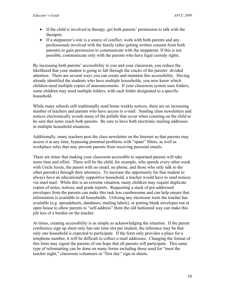- If the child is involved in therapy, get both parents' permission to talk with the therapist.
- If a stepparent's role is a source of conflict, work with both parents and any professionals involved with the family (after getting written consent from both parents) to gain permission to communicate with the stepparent. If this is not possible, communicate only with the parents who have legal custody rights.

By increasing both parents' accessibility to you and your classroom, you reduce the likelihood that your student is going to fall through the cracks of the parents' divided attention. There are several ways you can create and maintain this accessibility. Having already identified the students who have multiple households, you now know which children need multiple copies of announcements. If your classroom system uses folders, some children may need multiple folders, with each folder designated to a specific household.

While many schools still traditionally send home weekly notices, there are an increasing number of teachers and parents who have access to e-mail. Sending class newsletters and notices electronically avoids many of the pitfalls that occur when counting on the child to be sure that notes reach both parents. Be sure to have both electronic mailing addresses in multiple household situations.

Additionally, many teachers post the class newsletter on the Internet so that parents may access it at any time, bypassing potential problems with "spam" filters, as well as workplace rules that may prevent parents from receiving personal emails.

There are times that making your classroom accessible to separated parents will take more time and effort. There will be the child, for example, who spends every other week with Uncle Jessie, the parent with no email, no phone, and those who only talk to the other parent(s) through their attorneys. To increase the opportunity for that student to always have an educationally supportive household, a teacher would have to send notices via snail mail. While this is an extreme situation, many children may require duplicate copies of notes, notices, and grade reports. Requesting a stack of pre-addressed envelopes from the parents can make this task less cumbersome and can help ensure that information is available to all households. Utilizing any electronic tools the teacher has available (e.g. spreadsheets, databases, mailing labels), or putting blank envelopes out at open house to allow parents to "self-address" them the old fashioned way can make this job less of a burden on the teacher.

At times, creating accessibility is as simple as acknowledging the situation. If the parent conference sign up sheet only has one time slot per student, the inference may be that only one household is expected to participate. If the form only provides a place for a telephone number, it will be difficult to collect e-mail addresses. Changing the format of this form may signal the parents of our hope that all parents will participate. This same type of reformatting can be done on many forms including those used for "meet the teacher night," classroom volunteers or "first day" sign-in sheets.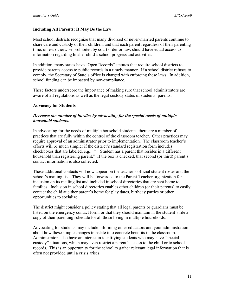### **Including All Parents: It May Be the Law!**

Most school districts recognize that many divorced or never-married parents continue to share care and custody of their children, and that each parent regardless of their parenting time, unless otherwise prohibited by court order or law, should have equal access to information regarding his/her child's school progress and activities.

In addition, many states have "Open Records" statutes that require school districts to provide parents access to public records in a timely manner. If a school district refuses to comply, the Secretary of State's office is charged with enforcing these laws. In addition, school funding can be impacted by non-compliance.

These factors underscore the importance of making sure that school administrators are aware of all regulations as well as the legal custody status of students' parents.

#### **Advocacy for Students**

### *Decrease the number of hurdles by advocating for the special needs of multiple household students.*

In advocating for the needs of multiple household students, there are a number of practices that are fully within the control of the classroom teacher. Other practices may require approval of an administrator prior to implementation. The classroom teacher's efforts will be much simpler if the district's standard registration form includes checkboxes that are labeled, e.g.: " Student has a parent that resides in a different household than registering parent." If the box is checked, that second (or third) parent's contact information is also collected.

These additional contacts will now appear on the teacher's official student roster and the school's mailing list. They will be forwarded to the Parent-Teacher organization for inclusion on its mailing list and included in school directories that are sent home to families. Inclusion in school directories enables other children (or their parents) to easily contact the child at either parent's home for play dates, birthday parties or other opportunities to socialize.

The district might consider a policy stating that all legal parents or guardians must be listed on the emergency contact form, or that they should maintain in the student's file a copy of their parenting schedule for all those living in multiple households.

Advocating for students may include informing other educators and your administration about how these simple changes translate into concrete benefits in the classroom. Administrators also have an interest in identifying students who may have "special custody" situations, which may even restrict a parent's access to the child or to school records. This is an opportunity for the school to gather relevant legal information that is often not provided until a crisis arises.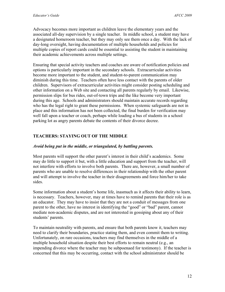Advocacy becomes more important as children leave the elementary years and the associated all-day supervision by a single teacher. In middle school, a student may have a designated homeroom teacher, but they may only see them once a day. With the lack of day-long oversight, having documentation of multiple households and policies for multiple copies of report cards could be essential to assisting the student in maintaining their academic achievements across multiple settings.

Ensuring that special activity teachers and coaches are aware of notification policies and options is particularly important in the secondary schools. Extracurricular activities become more important to the student, and student-to-parent communication may diminish during this time. Teachers often have less contact with the parents of older children. Supervisors of extracurricular activities might consider posting scheduling and other information on a Web site and contacting all parents regularly by email. Likewise, permission slips for bus rides, out-of-town trips and the like become very important during this age. Schools and administrators should maintain accurate records regarding who has the legal right to grant these permissions. When systemic safeguards are not in place and this information has not been collected, the final burden for verification may well fall upon a teacher or coach, perhaps while loading a bus of students in a school parking lot as angry parents debate the contents of their divorce decree.

## **TEACHERS: STAYING OUT OF THE MIDDLE**

### *Avoid being put in the middle, or triangulated, by battling parents.*

Most parents will support the other parent's interest in their child's academics. Some may do little to support it but, with a little education and support from the teacher, will not interfere with efforts to involve both parents. There are, however, a small number of parents who are unable to resolve differences in their relationship with the other parent and will attempt to involve the teacher in their disagreements and force him/her to take sides.

Some information about a student's home life, inasmuch as it affects their ability to learn, is necessary. Teachers, however, may at times have to remind parents that their role is as an educator. They may have to insist that they are not a conduit of messages from one parent to the other, have no interest in identifying the "good" or "bad" parent, cannot mediate non-academic disputes, and are not interested in gossiping about any of their students' parents.

To maintain neutrality with parents, and ensure that both parents know it, teachers may need to clarify their boundaries, practice stating them, and even commit them to writing. Unfortunately, on rare occasions, teachers may find themselves in the middle of a multiple household situation despite their best efforts to remain neutral (e.g., an impending divorce where the teacher may be subpoenaed for testimony). If the teacher is concerned that this may be occurring, contact with the school administrator should be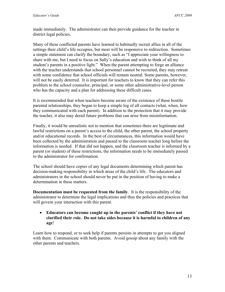made immediately. The administrator can then provide guidance for the teacher in district legal policies.

Many of these conflicted parents have learned to habitually recruit allies in all of the settings their child's life occupies, but most will be responsive to redirection. Sometimes a simple statement can clarify the boundary, such as "I appreciate your willingness to share with me, but I need to focus on Sally's education and wish to think of all my student's parents in a positive light." When the parent attempting to forge an alliance with the teacher understands that school personnel cannot be recruited, they may retreat with some confidence that school officials will remain neutral. Some parents, however, will not be easily deterred. It is important for teachers to know that they can refer this problem to the school counselor, principal, or some other administrative-level person who has the capacity and a plan for addressing these difficult cases.

It is recommended that when teachers become aware of the existence of these hostile parental relationships, they began to keep a simple log of all contacts (what, when, how they communicated with each parent). In addition to the protection that it may provide the teacher, it also may derail future problems that can arise from misinformation.

Finally, it would be unrealistic not to mention that sometimes there are legitimate and lawful restrictions on a parent's access to the child, the other parent, the school property and/or educational records. In the best of circumstances, this information would have been collected by the administration and passed to the classroom teacher long before the information is needed. If that did not happen, and the classroom teacher is informed by a parent (or student) of these restrictions, the information needs to be immediately passed to the administrator for confirmation.

The school should have copies of any legal documents determining which parent has decision-making responsibility in which areas of the child's life. The educators and administrators in the school should never be put in the position of having to make a determination in these matters.

**Documentation must be requested from the family**. It is the responsibility of the administrator to determine the legal implications and thus the policies and practices that will govern your interaction with this parent.

• **Educators can become caught up in the parents' conflict if they have not clarified their role. Do not take sides because it is harmful to children of any age**!

Learn how to respond, or to seek help if parents persists in attempts to get you aligned with them. Communicate with both parents. Avoid gossip about any family with the other parents and teachers.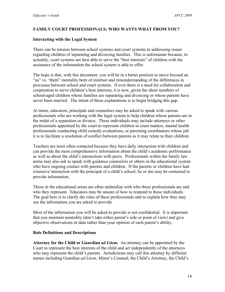#### **FAMILY COURT PROFESSIONALS: WHO WANTS WHAT FROM YOU?**

#### **Interacting with the Legal System**

There can be tension between school systems and court systems in addressing issues regarding children of separating and divorcing families. This is unfortunate because, in actuality, court systems are best able to serve the "best interests" of children with the assistance of the information the school system is able to offer.

The hope is that, with this document, you will be in a better position to move beyond an "us" vs. 'them" mentality born of mistrust and misunderstanding of the differences in processes between school and court systems. If ever there is a need for collaboration and cooperation to serve children's best interests, it is now, given the sheer numbers of school-aged children whose families are separating and divorcing or whose parents have never been married. The intent of these explanations is to begin bridging this gap.

At times, educators, principals and counselors may be asked to speak with various professionals who are working with the legal system to help children whose parents are in the midst of a separation or divorce. These individuals may include attorneys or other professionals appointed by the court to represent children in court matters, mental health professionals conducting child custody evaluations, or parenting coordinators whose job it is to facilitate a resolution of conflict between parents as it may relate to their children.

Teachers are most often contacted because they have daily interaction with children and can provide the most comprehensive information about the child's academic performance as well as about the child's interactions with peers. Professionals within the family law arena may also ask to speak with guidance counselors or others in the educational system who have ongoing contact with parents and children. If the parents or children have had extensive interaction with the principal of a child's school, he or she may be contacted to provide information.

Those in the educational arena are often unfamiliar with who these professionals are and who they represent. Educators may be unsure of how to respond to these individuals. The goal here is to clarify the roles of these professionals and to explain how they may use the information you are asked to provide.

Most of the information you will be asked to provide is not confidential. It is important that you maintain neutrality (don't take either parent's side or point of view) and give objective observations or data rather than your opinion of each parent's ability.

#### **Role Definitions and Descriptions**

**Attorney for the Child or Guardian** *ad Litem***.** An attorney can be appointed by the Court to represent the best interests of the child and act independently of the attorneys who may represent the child's parents. Jurisdictions may call this attorney by different names including Guardian *ad Litem*, Minor's Counsel, the Child's Attorney, the Child's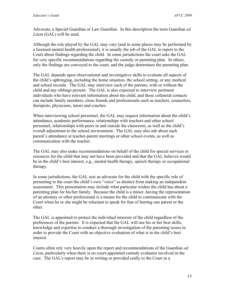Advocate, a Special Guardian or Law Guardian. In this description the term Guardian *ad Litem* (GAL) will be used.

Although the role played by the GAL may vary (and in some places may be performed by a licensed mental health professional), it is usually the job of the GAL to report to the Court about findings regarding the child. In some jurisdictions the court asks the GAL for very specific recommendations regarding the custody or parenting plan. In others, only the findings are conveyed to the court, and the judge determines the parenting plan.

The GAL depends upon observational and investigative skills to evaluate all aspects of the child's upbringing, including the home situation, the school setting, or any medical and school records. The GAL may interview each of the parents, with or without the child and any siblings present. The GAL is also expected to interview pertinent individuals who have relevant information about the child, and these collateral contacts can include family members, close friends and professionals such as teachers, counselors, therapists, physicians, tutors and coaches.

When interviewing school personnel, the GAL may request information about the child's attendance, academic performance, relationships with teachers and other school personnel, relationships with peers in and outside the classroom, as well as the child's overall adjustment to the school environment. The GAL may also ask about each parent's attendance at teacher-parent meetings or other school events, as well as communication with the teacher.

The GAL may also make recommendations on behalf of the child for special services or resources for the child that may not have been provided and that the GAL believes would be in the child's best interest, e.g., mental health therapy, speech therapy or occupational therapy.

In some jurisdictions, the GAL acts as advocate for the child with the specific role of presenting to the court the child's own "voice" as distinct from making an independent assessment. This presentation may include what particular wishes the child has about a parenting plan for his/her family. Because the child is a minor, having the representation of an attorney or other professional is a means for the child to communicate with the Court when he or she might be reluctant to speak for fear of hurting one parent or the other.

The GAL is appointed to protect the individual interests of the child regardless of the preferences of the parents. It is expected that the GAL will use his or her best skills, knowledge and expertise to conduct a thorough investigation of the parenting issues in order to provide the Court with an objective evaluation of what is in the child's best interest.

Courts often rely very heavily upon the report and recommendations of the Guardian *ad Litem*, particularly when there is no court-appointed custody evaluator involved in the case. The GAL's report may be in writing or provided orally to the Court in a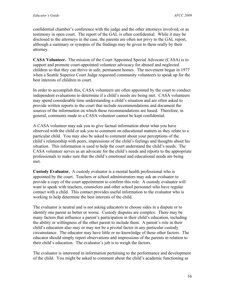confidential chamber's conference with the judge and the other attorneys involved, or as testimony in open court. The report of the GAL is often confidential. While it may be disclosed to the attorneys in the case, the parents are often not privy to the GAL report, although a summary or synopsis of the findings may be given to them orally by their attorney.

**CASA Volunteer.** The mission of the Court Appointed Special Advocate (CASA) is to support and promote court-appointed volunteer advocacy for abused and neglected children so that they can thrive in safe, permanent homes. The movement began in 1977 when a Seattle Superior Court Judge requested community volunteers to speak up for the best interests of children in court.

In order to accomplish this, CASA volunteers are often appointed by the court to conduct independent evaluations to determine if a child's needs are being met. CASA volunteers may spend considerable time understanding a child's situation and are often asked to provide written reports to the court that include recommendations and document the sources of the information on which these recommendations are based. Therefore, in general, comments made to a CASA volunteer cannot be kept confidential.

A CASA volunteer may ask you to give factual information about what you have observed with the child or ask you to comment on educational matters as they relate to a particular child. You may also be asked to comment about your perceptions of the child's relationship with peers, impressions of the child's feelings and thoughts about his situation. This information is used to help the court understand the child's needs. The CASA volunteer serves as an advocate for the child's needs and reports to the appropriate professionals to make sure that the child's emotional and educational needs are being met.

**Custody Evaluator.** A custody evaluator is a mental health professional who is appointed by the court. Teachers or school administrators may ask an evaluator to provide a copy of the court appointment to confirm this role. A custody evaluator will want to speak with teachers, counselors and other school personnel who have regular contact with a child. This contact provides useful information to the evaluator who is working to help determine the best interests of the child.

The evaluator is neutral and is not asking educators to choose sides in a dispute or to identify one parent as better or worse. Custody disputes are complex. There may be many factors that influence a parent's participation in their child's education, including the ability or willingness of the other parent to include them. A parent's role in their child's education also may or may not be a pivotal factor in any particular custody circumstance. The educator may have little or no knowledge of these other factors. The educator should simply report observations and impressions of the parents in relation to their child's education. The evaluator's job is to weigh the factors.

The evaluator is interested in information pertaining to the performance and development of the child. You might be asked to comment about the child's academic functioning as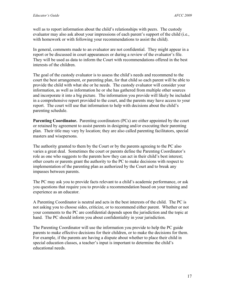well as to report information about the child's relationships with peers. The custody evaluator may also ask about your impressions of each parent's support of the child (i.e., with homework or with following your recommendations to assist the child).

In general, comments made to an evaluator are not confidential. They might appear in a report or be discussed in court appearances or during a review of the evaluator's file. They will be used as data to inform the Court with recommendations offered in the best interests of the children.

The goal of the custody evaluator is to assess the child's needs and recommend to the court the best arrangement, or parenting plan, for that child so each parent will be able to provide the child with what she or he needs. The custody evaluator will consider your information, as well as information he or she has gathered from multiple other sources and incorporate it into a big picture. The information you provide will likely be included in a comprehensive report provided to the court, and the parents may have access to your report. The court will use that information to help with decisions about the child's parenting schedule.

**Parenting Coordinator.** Parenting coordinators (PCs) are either appointed by the court or retained by agreement to assist parents in designing and/or executing their parenting plan. Their title may vary by location; they are also called parenting facilitators, special masters and wisepersons.

The authority granted to them by the Court or by the parents agreeing to the PC also varies a great deal. Sometimes the court or parents define the Parenting Coordinator's role as one who suggests to the parents how they can act in their child's best interest; other courts or parents grant the authority to the PC to make decisions with respect to implementation of the parenting plan as authorized by the Court and to break any impasses between parents.

The PC may ask you to provide facts relevant to a child's academic performance, or ask you questions that require you to provide a recommendation based on your training and experience as an educator.

A Parenting Coordinator is neutral and acts in the best interests of the child. The PC is not asking you to choose sides, criticize, or to recommend either parent. Whether or not your comments to the PC are confidential depends upon the jurisdiction and the topic at hand. The PC should inform you about confidentiality in your jurisdiction.

The Parenting Coordinator will use the information you provide to help the PC guide parents to make effective decisions for their children, or to make the decisions for them. For example, if the parents are having a dispute about whether to place their child in special education classes, a teacher's input is important to determine the child's educational needs.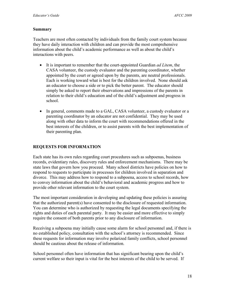#### **Summary**

Teachers are most often contacted by individuals from the family court system because they have daily interaction with children and can provide the most comprehensive information about the child's academic performance as well as about the child's interactions with peers.

- It is important to remember that the court-appointed Guardian *ad Litem*, the CASA volunteer, the custody evaluator and the parenting coordinator, whether appointed by the court or agreed upon by the parents, are neutral professionals. Each is working toward what is best for the children involved. None should ask an educator to choose a side or to pick the better parent. The educator should simply be asked to report their observations and impressions of the parents in relation to their child's education and of the child's adjustment and progress in school.
- In general, comments made to a GAL, CASA volunteer, a custody evaluator or a parenting coordinator by an educator are not confidential. They may be used along with other data to inform the court with recommendations offered in the best interests of the children, or to assist parents with the best implementation of their parenting plan.

#### **REQUESTS FOR INFORMATION**

Each state has its own rules regarding court procedures such as subpoenas, business records, evidentiary rules, discovery rules and enforcement mechanisms. There may be state laws that govern how you proceed. Many school districts have policies on how to respond to requests to participate in processes for children involved in separation and divorce. This may address how to respond to a subpoena, access to school records, how to convey information about the child's behavioral and academic progress and how to provide other relevant information to the court system.

The most important consideration in developing and updating these policies is assuring that the authorized parent(s) have consented to the disclosure of requested information. You can determine who is authorized by requesting the legal documents specifying the rights and duties of each parental party. It may be easier and more effective to simply require the consent of both parents prior to any disclosure of information.

Receiving a subpoena may initially cause some alarm for school personnel and, if there is no established policy, consultation with the school's attorney is recommended. Since these requests for information may involve polarized family conflicts, school personnel should be cautious about the release of information.

School personnel often have information that has significant bearing upon the child's current welfare so their input is vital for the best interests of the child to be served. If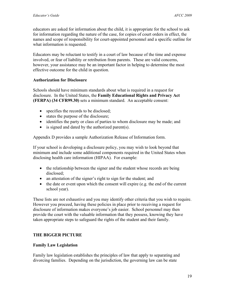educators are asked for information about the child, it is appropriate for the school to ask for information regarding the nature of the case, for copies of court orders in effect, the names and scope of responsibility for court-appointed personnel and a specific outline for what information is requested.

Educators may be reluctant to testify in a court of law because of the time and expense involved, or fear of liability or retribution from parents. These are valid concerns, however, your assistance may be an important factor in helping to determine the most effective outcome for the child in question.

#### **Authorization for Disclosure**

Schools should have minimum standards about what is required in a request for disclosure. In the United States, the **Family Educational Rights and Privacy Act (FERPA) (34 CFR99.30)** sets a minimum standard. An acceptable consent:

- specifies the records to be disclosed;
- states the purpose of the disclosure;
- identifies the party or class of parties to whom disclosure may be made; and
- is signed and dated by the authorized parent(s).

Appendix D provides a sample Authorization Release of Information form.

If your school is developing a disclosure policy, you may wish to look beyond that minimum and include some additional components required in the United States when disclosing health care information (HIPAA). For example:

- the relationship between the signer and the student whose records are being disclosed;
- an attestation of the signer's right to sign for the student; and
- the date or event upon which the consent will expire (e.g. the end of the current school year).

These lists are not exhaustive and you may identify other criteria that you wish to require. However you proceed, having these policies in place prior to receiving a request for disclosure of information makes everyone's job easier. School personnel may then provide the court with the valuable information that they possess, knowing they have taken appropriate steps to safeguard the rights of the student and their family.

## **THE BIGGER PICTURE**

## **Family Law Legislation**

Family law legislation establishes the principles of law that apply to separating and divorcing families. Depending on the jurisdiction, the governing law can be state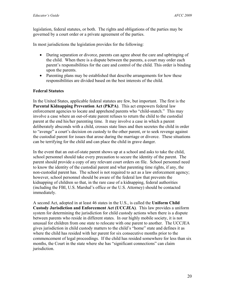legislation, federal statutes, or both. The rights and obligations of the parties may be governed by a court order or a private agreement of the parties.

In most jurisdictions the legislation provides for the following:

- During separation or divorce, parents can agree about the care and upbringing of the child. When there is a dispute between the parents, a court may order each parent's responsibilities for the care and control of the child. This order is binding upon the parents.
- Parenting plans may be established that describe arrangements for how these responsibilities are divided based on the best interests of the child.

## **Federal Statutes**

In the United States, applicable federal statutes are few, but important. The first is the **Parental Kidnapping Prevention Act (PKPA)**. This act empowers federal law enforcement agencies to locate and apprehend parents who "child-snatch." This may involve a case where an out-of-state parent refuses to return the child to the custodial parent at the end his/her parenting time. It may involve a case in which a parent deliberately absconds with a child, crosses state lines and then secretes the child in order to "avenge" a court's decision on custody to the other parent, or to seek revenge against the custodial parent for issues that arose during the marriage or divorce. These situations can be terrifying for the child and can place the child in grave danger.

In the event that an out-of-state parent shows up at a school and asks to take the child, school personnel should take every precaution to secure the identity of the parent. The parent should provide a copy of any relevant court orders on file. School personnel need to know the identity of the custodial parent and what parenting time rights, if any, the non-custodial parent has. The school is not required to act as a law enforcement agency; however, school personnel should be aware of the federal law that prevents the kidnapping of children so that, in the rare case of a kidnapping, federal authorities (including the FBI, U.S. Marshal's office or the U.S. Attorney) should be contacted immediately.

A second Act, adopted in at least 46 states in the U.S., is called the **Uniform Child Custody Jurisdiction and Enforcement Act (UCCJEA)**. This law provides a uniform system for determining the jurisdiction for child custody actions when there is a dispute between parents who reside in different states. In our highly mobile society, it is not unusual for children from one state to relocate with one parent to another. The UCCJEA gives jurisdiction in child custody matters to the child's "home" state and defines it as where the child has resided with her parent for six consecutive months prior to the commencement of legal proceedings. If the child has resided somewhere for less than six months, the Court in the state where she has "significant connections" can claim jurisdiction.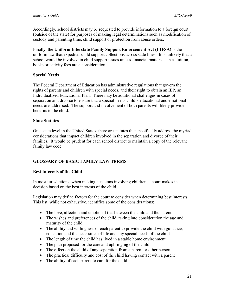Accordingly, school districts may be requested to provide information to a foreign court (outside of the state) for purposes of making legal determinations such as modification of custody and parenting time, child support or protection from abuse orders.

Finally, the **Uniform Interstate Family Support Enforcement Act (UIFSA)** is the uniform law that expedites child support collections across state lines. It is unlikely that a school would be involved in child support issues unless financial matters such as tuition, books or activity fees are a consideration.

### **Special Needs**

The Federal Department of Education has administrative regulations that govern the rights of parents and children with special needs, and their right to obtain an IEP, an Individualized Educational Plan. There may be additional challenges in cases of separation and divorce to ensure that a special needs child's educational and emotional needs are addressed. The support and involvement of both parents will likely provide benefits to the child.

#### **State Statutes**

On a state level in the United States, there are statutes that specifically address the myriad considerations that impact children involved in the separation and divorce of their families. It would be prudent for each school district to maintain a copy of the relevant family law code.

## **GLOSSARY OF BASIC FAMILY LAW TERMS**

## **Best Interests of the Child**

In most jurisdictions, when making decisions involving children, a court makes its decision based on the best interests of the child.

Legislation may define factors for the court to consider when determining best interests. This list, while not exhaustive, identifies some of the considerations:

- The love, affection and emotional ties between the child and the parent
- The wishes and preferences of the child, taking into consideration the age and maturity of the child
- The ability and willingness of each parent to provide the child with guidance, education and the necessities of life and any special needs of the child
- The length of time the child has lived in a stable home environment
- The plan proposed for the care and upbringing of the child
- The effect on the child of any separation from a parent or other person
- The practical difficulty and cost of the child having contact with a parent
- The ability of each parent to care for the child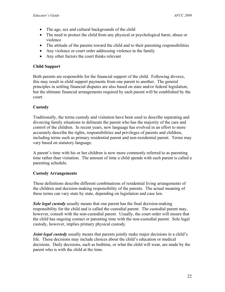- The age, sex and cultural backgrounds of the child
- The need to protect the child from any physical or psychological harm, abuse or violence
- The attitude of the parents toward the child and to their parenting responsibilities
- Any violence or court order addressing violence in the family
- Any other factors the court thinks relevant

### **Child Support**

Both parents are responsible for the financial support of the child. Following divorce, this may result in child support payments from one parent to another. The general principles in settling financial disputes are also based on state and/or federal legislation, but the ultimate financial arrangements required by each parent will be established by the court.

## **Custody**

Traditionally, the terms custody and visitation have been used to describe separating and divorcing family situations to delineate the parent who has the majority of the care and control of the children. In recent years, new language has evolved in an effort to more accurately describe the rights, responsibilities and privileges of parents and children, including terms such as primary residential parent and non-residential parent. Terms may vary based on statutory language.

A parent's time with his or her children is now more commonly referred to as parenting time rather than visitation. The amount of time a child spends with each parent is called a parenting schedule.

#### **Custody Arrangements**

These definitions describe different combinations of residential living arrangements of the children and decision-making responsibility of the parents. The actual meaning of these terms can vary state by state, depending on legislation and case law.

*Sole legal custody* usually means that one parent has the final decision-making responsibility for the child and is called the custodial parent. The custodial parent may, however, consult with the non-custodial parent. Usually, the court order will ensure that the child has ongoing contact or parenting time with the non-custodial parent. Sole legal custody, however, implies primary physical custody.

*Joint legal custody* usually means that parents jointly make major decisions in a child's life. These decisions may include choices about the child's education or medical decisions. Daily decisions, such as bedtime, or what the child will wear, are made by the parent who is with the child at the time.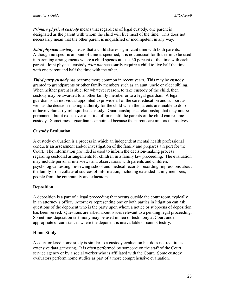*Primary physical custody* means that regardless of legal custody, one parent is designated as the parent with whom the child will live most of the time. This does not necessarily mean that the other parent is unqualified or incompetent in any way.

*Joint physical custody* means that a child shares significant time with both parents. Although no specific amount of time is specified, it is not unusual for this term to be used in parenting arrangements where a child spends at least 30 percent of the time with each parent. Joint physical custody *does not* necessarily require a child to live half the time with one parent and half the time with the other.

*Third party custody* has become more common in recent years. This may be custody granted to grandparents or other family members such as an aunt, uncle or older sibling. When neither parent is able, for whatever reason, to take custody of the child, then custody may be awarded to another family member or to a legal guardian. A legal guardian is an individual appointed to provide all of the care, education and support as well as the decision-making authority for the child when the parents are unable to do so or have voluntarily relinquished custody. Guardianship is a relationship that may not be permanent, but it exists over a period of time until the parents of the child can resume custody. Sometimes a guardian is appointed because the parents are minors themselves.

## **Custody Evaluation**

A custody evaluation is a process in which an independent mental health professional conducts an assessment and/or investigation of the family and prepares a report for the Court. The information provided is used to inform the decision-making process regarding custodial arrangements for children in a family law proceeding. The evaluation may include personal interviews and observations with parents and children, psychological testing, reviewing school and medical records, recording impressions about the family from collateral sources of information, including extended family members, people from the community and educators.

## **Deposition**

A deposition is a part of a legal proceeding that occurs outside the court room, typically in an attorney's office. Attorneys representing one or both parties in litigation can ask questions of the deponent who is the party upon whom a notice or subpoena of deposition has been served. Questions are asked about issues relevant to a pending legal proceeding. Sometimes deposition testimony may be used in lieu of testimony at Court under appropriate circumstances where the deponent is unavailable or cannot testify.

## **Home Study**

A court-ordered home study is similar to a custody evaluation but does not require as extensive data gathering. It is often performed by someone on the staff of the Court service agency or by a social worker who is affiliated with the Court. Some custody evaluators perform home studies as part of a more comprehensive evaluation.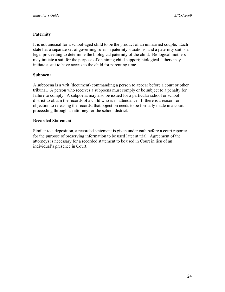## **Paternity**

It is not unusual for a school-aged child to be the product of an unmarried couple. Each state has a separate set of governing rules in paternity situations, and a paternity suit is a legal proceeding to determine the biological paternity of the child. Biological mothers may initiate a suit for the purpose of obtaining child support; biological fathers may initiate a suit to have access to the child for parenting time.

### **Subpoena**

A subpoena is a writ (document) commanding a person to appear before a court or other tribunal. A person who receives a subpoena must comply or be subject to a penalty for failure to comply. A subpoena may also be issued for a particular school or school district to obtain the records of a child who is in attendance. If there is a reason for objection to releasing the records, that objection needs to be formally made in a court proceeding through an attorney for the school district.

### **Recorded Statement**

Similar to a deposition, a recorded statement is given under oath before a court reporter for the purpose of preserving information to be used later at trial. Agreement of the attorneys is necessary for a recorded statement to be used in Court in lieu of an individual's presence in Court.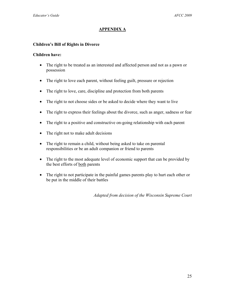## **APPENDIX A**

### **Children's Bill of Rights in Divorce**

#### **Children have:**

- The right to be treated as an interested and affected person and not as a pawn or possession
- The right to love each parent, without feeling guilt, pressure or rejection
- The right to love, care, discipline and protection from both parents
- The right to not choose sides or be asked to decide where they want to live
- The right to express their feelings about the divorce, such as anger, sadness or fear
- The right to a positive and constructive on-going relationship with each parent
- The right not to make adult decisions
- The right to remain a child, without being asked to take on parental responsibilities or be an adult companion or friend to parents
- The right to the most adequate level of economic support that can be provided by the best efforts of both parents
- The right to not participate in the painful games parents play to hurt each other or be put in the middle of their battles

*Adapted from decision of the Wisconsin Supreme Court*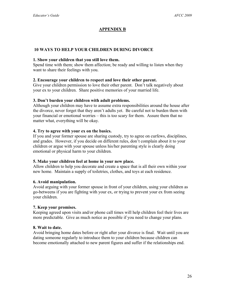## **APPENDIX B**

### **10 WAYS TO HELP YOUR CHILDREN DURING DIVORCE**

#### **1. Show your children that you still love them.**

Spend time with them; show them affection; be ready and willing to listen when they want to share their feelings with you.

#### **2. Encourage your children to respect and love their other parent.**

Give your children permission to love their other parent. Don't talk negatively about your ex to your children. Share positive memories of your married life.

#### **3. Don't burden your children with adult problems.**

Although your children may have to assume extra responsibilities around the house after the divorce, never forget that they aren't adults yet. Be careful not to burden them with your financial or emotional worries – this is too scary for them. Assure them that no matter what, everything will be okay.

#### **4. Try to agree with your ex on the basics.**

If you and your former spouse are sharing custody, try to agree on curfews, disciplines, and grades. However, if you decide on different rules, don't complain about it to your children or argue with your spouse unless his/her parenting style is clearly doing emotional or physical harm to your children.

#### **5. Make your children feel at home in your new place.**

Allow children to help you decorate and create a space that is all their own within your new home. Maintain a supply of toiletries, clothes, and toys at each residence.

#### **6. Avoid manipulation.**

Avoid arguing with your former spouse in front of your children, using your children as go-betweens if you are fighting with your ex, or trying to prevent your ex from seeing your children.

#### **7. Keep your promises.**

Keeping agreed upon visits and/or phone call times will help children feel their lives are more predictable. Give as much notice as possible if you need to change your plans.

#### **8. Wait to date.**

Avoid bringing home dates before or right after your divorce is final. Wait until you are dating someone regularly to introduce them to your children because children can become emotionally attached to new parent figures and suffer if the relationships end.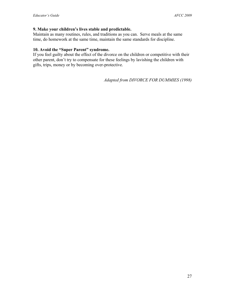#### **9. Make your children's lives stable and predictable.**

Maintain as many routines, rules, and traditions as you can. Serve meals at the same time, do homework at the same time, maintain the same standards for discipline.

## **10. Avoid the "Super Parent" syndrome.**

If you feel guilty about the effect of the divorce on the children or competitive with their other parent, don't try to compensate for these feelings by lavishing the children with gifts, trips, money or by becoming over-protective.

*Adapted from DIVORCE FOR DUMMIES (1998)*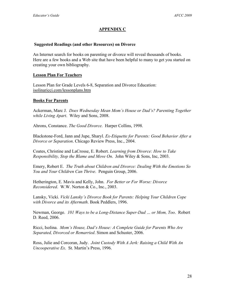## **APPENDIX C**

#### **Suggested Readings (and other Resources) on Divorce**

An Internet search for books on parenting or divorce will reveal thousands of books. Here are a few books and a Web site that have been helpful to many to get you started on creating your own bibliography.

### **Lesson Plan For Teachers**

Lesson Plan for Grade Levels 6-8, Separation and Divorce Education: isolinaricci.com/lessonplans.htm

#### **Books For Parents**

Ackerman, Marc J. *Does Wednesday Mean Mom's House or Dad's? Parenting Together while Living Apart*. Wiley and Sons, 2008.

Ahrons, Constance. *The Good Divorce*. Harper Collins, 1998.

Blackstone-Ford, Jann and Jupe, Sharyl. *Ex-Etiquette for Parents: Good Behavior After a Divorce or Separation*. Chicago Review Press, Inc., 2004.

Coates, Christine and LaCrosse, E. Robert. *Learning from Divorce: How to Take Responsibility, Stop the Blame and Move On*. John Wiley & Sons, Inc, 2003.

Emery, Robert E. *The Truth about Children and Divorce: Dealing With the Emotions So You and Your Children Can Thrive*. Penguin Group, 2006.

Hetherington, E. Mavis and Kelly, John. *For Better or For Worse: Divorce Reconsidered*. W.W. Norton & Co., Inc., 2003.

Lansky, Vicki. *Vicki Lansky's Divorce Book for Parents: Helping Your Children Cope with Divorce and its Aftermath*. Book Peddlers, 1996.

Newman, George. *101 Ways to be a Long-Distance Super-Dad … or Mom, Too*. Robert D. Reed, 2006.

Ricci, Isolina. *Mom's House, Dad's House: A Complete Guide for Parents Who Are Separated, Divorced or Remarried*. Simon and Schuster, 2006.

Ross, Julie and Corcoran, Judy. *Joint Custody With A Jerk: Raising a Child With An Uncooperative Ex*. St. Martin's Press, 1996.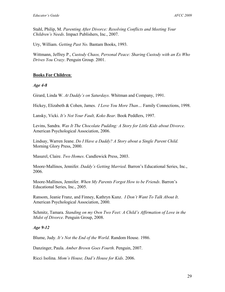Stahl, Philip, M. *Parenting After Divorce: Resolving Conflicts and Meeting Your Children's Needs*. Impact Publishers, Inc., 2007.

Ury, William. *Getting Past No*. Bantam Books, 1993.

Wittmann, Jeffrey P., *Custody Chaos, Personal Peace: Sharing Custody with an Ex Who Drives You Crazy*. Penguin Group. 2001.

### **Books For Children**:

*Age 4-8* 

Girard, Linda W. *At Daddy's on Saturdays*. Whitman and Company, 1991.

Hickey, Elizabeth & Cohen, James. *I Love You More Than…* Family Connections, 1998.

Lansky, Vicki. *It's Not Your Fault, Koko Bear*. Book Peddlers, 1997.

Levins, Sandra. *Was It The Chocolate Pudding: A Story for Little Kids about Divorce*. American Psychological Association, 2006.

Lindsay, Warren Jeane. *Do I Have a Daddy? A Story about a Single Parent Child.* Morning Glory Press, 2000.

Masurel, Claire. *Two Homes*. Candlewick Press, 2003.

Moore-Mallinos, Jennifer. *Daddy's Getting Married*. Barron's Educational Series, Inc., 2006.

Moore-Mallinos, Jennifer. *When My Parents Forgot How to be Friends*. Barron's Educational Series, Inc., 2005.

Ransom, Jeanie Franz, and Finney, Kathryn Kunz. *I Don't Want To Talk About It*. American Psychological Association, 2000.

Schmitz, Tamara. *Standing on my Own Two Feet: A Child's Affirmation of Love in the Midst of Divorce*. Penguin Group, 2008.

#### *Age 9-12*

Blume, Judy. *It's Not the End of the World*. Random House. 1986.

Danzinger, Paula. *Amber Brown Goes Fourth*. Penguin, 2007.

Ricci Isolina. *Mom's House, Dad's House for Kids*. 2006.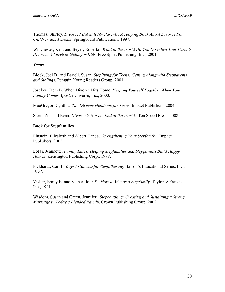Thomas, Shirley. *Divorced But Still My Parents: A Helping Book About Divorce For Children and Parents*. Springboard Publications, 1997.

Winchester, Kent and Beyer, Roberta. *What in the World Do You Do When Your Parents Divorce: A Survival Guide for Kids*. Free Spirit Publishing, Inc., 2001.

#### *Teens*

Block, Joel D. and Bartell, Susan. *Stepliving for Teens: Getting Along with Stepparents and Siblings*. Penguin Young Readers Group, 2001.

Joselow, Beth B. When Divorce Hits Home: *Keeping Yourself Together When Your Family Comes Apart*. iUniverse, Inc., 2000.

MacGregor, Cynthia. *The Divorce Helpbook for Teens*. Impact Publishers, 2004.

Stern, Zoe and Evan. *Divorce is Not the End of the World*. Ten Speed Press, 2008.

#### **Book for Stepfamilies**

Einstein, Elizabeth and Albert, Linda. *Strengthening Your Stepfamily*. Impact Publishers, 2005.

Lofas, Jeannette. *Family Rules: Helping Stepfamilies and Stepparents Build Happy Homes*. Kensington Publishing Corp., 1998.

Pickhardt, Carl E. *Keys to Successful Stepfathering*. Barron's Educational Series, Inc., 1997.

Visher, Emily B. and Visher, John S. *How to Win as a Stepfamily*. Taylor & Francis, Inc., 1991

Wisdom, Susan and Green, Jennifer. *Stepcoupling: Creating and Sustaining a Strong Marriage in Today's Blended Family*. Crown Publishing Group, 2002.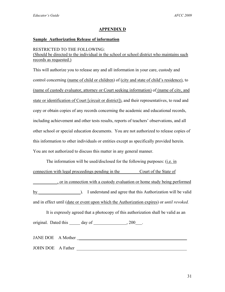### **APPENDIX D**

#### **Sample Authorization Release of information**

#### RESTRICTED TO THE FOLLOWING:

(Should be directed to the individual in the school or school district who maintains such records as requested.)

This will authorize you to release any and all information in your care, custody and control concerning (name of child or children) of (city and state of child's residence), to (name of custody evaluator, attorney or Court seeking information) of (name of city, and state or identification of Court [circuit or district]), and their representatives, to read and copy or obtain copies of any records concerning the academic and educational records, including achievement and other tests results, reports of teachers' observations, and all other school or special education documents. You are not authorized to release copies of this information to other individuals or entities except as specifically provided herein. You are not authorized to discuss this matter in any general manner.

The information will be used/disclosed for the following purposes: (i.e. in connection with legal proceedings pending in the Court of the State of \_\_\_\_\_\_\_\_\_\_\_, or in connection with a custody evaluation or home study being performed by extending the University of the University of the Valid series of the Valid series of the valid be valid be valid be valid be valid by  $\mathbb{E}[S]$ and in effect until (date or event upon which the Authorization expires) or *until revoked.* 

It is expressly agreed that a photocopy of this authorization shall be valid as an original. Dated this day of , 200 .

JANE DOE A Mother \_\_\_\_\_\_\_\_\_\_\_\_\_\_\_\_\_\_\_\_\_\_\_\_\_\_\_\_\_\_\_\_\_\_\_\_\_\_\_\_\_\_\_\_\_\_\_\_\_ JOHN DOE A Father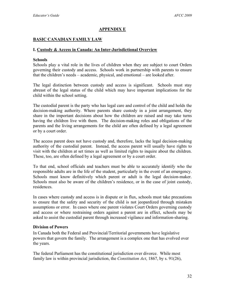### **APPENDIX E**

### **BASIC CANADIAN FAMILY LAW**

#### **I. Custody & Access in Canada: An Inter-Jurisdictional Overview**

#### **Schools**

Schools play a vital role in the lives of children when they are subject to court Orders governing their custody and access. Schools work in partnership with parents to ensure that the children's needs – academic, physical, and emotional – are looked after.

The legal distinction between custody and access is significant. Schools must stay abreast of the legal status of the child which may have important implications for the child within the school setting.

The custodial parent is the party who has legal care and control of the child and holds the decision-making authority. Where parents share custody in a joint arrangement, they share in the important decisions about how the children are raised and may take turns having the children live with them. The decision-making roles and obligations of the parents and the living arrangements for the child are often defined by a legal agreement or by a court order.

The access parent does not have custody and, therefore, lacks the legal decision-making authority of the custodial parent. Instead, the access parent will usually have rights to visit with the children at set times as well as limited rights to inquire about the children. These, too, are often defined by a legal agreement or by a court order.

To that end, school officials and teachers must be able to accurately identify who the responsible adults are in the life of the student, particularly in the event of an emergency. Schools must know definitively which parent or adult is the legal decision-maker. Schools must also be aware of the children's residence, or in the case of joint custody, residences.

In cases where custody and access is in dispute or in flux, schools must take precautions to ensure that the safety and security of the child is not jeopardized through mistaken assumptions or error. In cases where one parent violates Court Orders governing custody and access or where restraining orders against a parent are in effect, schools may be asked to assist the custodial parent through increased vigilance and information-sharing.

#### **Division of Powers**

In Canada both the Federal and Provincial/Territorial governments have legislative powers that govern the family. The arrangement is a complex one that has evolved over the years.

The federal Parliament has the constitutional jurisdiction over divorce. While most family law is within provincial jurisdiction, the *Constitution Act*, 1867, by s. 91(26),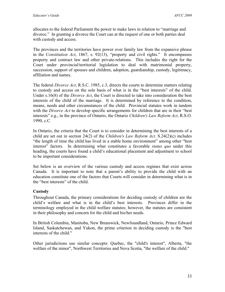allocates to the federal Parliament the power to make laws in relation to "marriage and divorce." In granting a divorce the Court can at the request of one or both parties deal with custody and access.

The provinces and the territories have power over family law from the expansive phrase in the *Constitution Act*, 1867, s. 92(13), "property and civil rights." It encompasses property and contract law and other private-relations. This includes the right for the Court under provincial/territorial legislation to deal with matrimonial property, succession, support of spouses and children, adoption, guardianship, custody, legitimacy, affiliation and names.

The federal *Divorce Act*, R.S.C. 1985, c.3, directs the courts to determine matters relating to custody and access on the sole basis of what is in the "best interests" of the child. Under s.16(8) of the *Divorce Act*, the Court is directed to take into consideration the best interests of the child of the marriage. It is determined by reference to the condition, means, needs and other circumstances of the child. Provincial statutes work in tandem with the *Divorce Act* to develop specific arrangements for children that are in their "best interests" e.g., in the province of Ontario, the Ontario *Children's Law Reform Act*, R.S.O. 1990, c.C.

In Ontario, the criteria that the Court is to consider in determining the best interests of a child are set out in section 24(2) of the *Children's Law Reform Act*. S.24(2)(c) includes "the length of time the child has lived in a stable home environment" among other "best interest" factors. In determining what constitutes a favorable *status quo* under this heading, the courts have found a child's educational placement and adjustment to school to be important considerations.

Set below is an overview of the various custody and access regimes that exist across Canada. It is important to note that a parent's ability to provide the child with an education constitute one of the factors that Courts will consider in determining what is in the "best interests" of the child.

## **Custody**

Throughout Canada, the primary considerations for deciding custody of children are the child's welfare and what is in the child's best interests. Provinces differ in the terminology employed in the child welfare statutes; however, the statutes are consistent in their philosophy and concern for the child and his/her needs.

In British Columbia, Manitoba, New Brunswick, Newfoundland, Ontario, Prince Edward Island, Saskatchewan, and Yukon, the prime criterion in deciding custody is the "best interests of the child."

Other jurisdictions use similar concepts: Quebec, the "child's interest", Alberta, "the welfare of the minor", Northwest Territories and Nova Scotia, "the welfare of the child."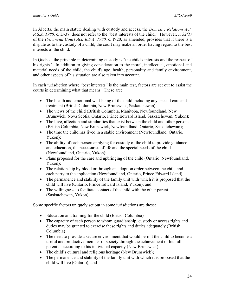In Alberta, the main statute dealing with custody and access, the *Domestic Relations Act, R.S.A. 1980,* c. D-37, does not refer to the "best interests of the child." However, *s. 32(1)* of the *Provincial Court Act, R.S.A. 1980,* c. P-20, as amended, provides that if there is a dispute as to the custody of a child, the court may make an order having regard to the best interests of the child.

In Quebec, the principle in determining custody is "the child's interests and the respect of his rights." In addition to giving consideration to the moral, intellectual, emotional and material needs of the child, the child's age, health, personality and family environment, and other aspects of his situation are also taken into account.

In each jurisdiction where "best interests" is the main test, factors are set out to assist the courts in determining what that means. These are:

- The health and emotional well-being of the child including any special care and treatment (British Columbia, New Brunswick, Saskatchewan);
- The views of the child (British Columbia, Manitoba, Newfoundland, New Brunswick, Nova Scotia, Ontario, Prince Edward Island, Saskatchewan, Yukon);
- The love, affection and similar ties that exist between the child and other persons (British Columbia, New Brunswick, Newfoundland, Ontario, Saskatchewan);
- The time the child has lived in a stable environment (Newfoundland, Ontario, Yukon);
- The ability of each person applying for custody of the child to provide guidance and education, the necessaries of life and the special needs of the child (Newfoundland, Ontario, Yukon);
- Plans proposed for the care and upbringing of the child (Ontario, Newfoundland, Yukon);
- The relationship by blood or through an adoption order between the child and each party to the application (Newfoundland, Ontario, Prince Edward Island);
- The permanence and stability of the family unit with which it is proposed that the child will live (Ontario, Prince Edward Island, Yukon); and
- The willingness to facilitate contact of the child with the other parent (Saskatchewan, Yukon).

Some specific factors uniquely set out in some jurisdictions are these:

- Education and training for the child (British Columbia)
- The capacity of each person to whom guardianship, custody or access rights and duties may be granted to exercise these rights and duties adequately (British Columbia)
- The need to provide a secure environment that would permit the child to become a useful and productive member of society through the achievement of his full potential according to his individual capacity (New Brunswick)
- The child's cultural and religious heritage (New Brunswick);
- The permanence and stability of the family unit with which it is proposed that the child will live (Ontario); and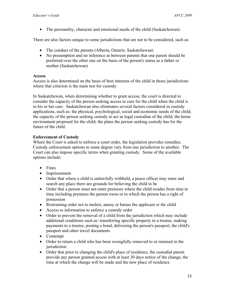• The personality, character and emotional needs of the child (Saskatchewan).

There are also factors unique to some jurisdictions that are not to be considered, such as:

- The conduct of the parents (Alberta, Ontario, Saskatchewan)
- No presumption and no inference as between parents that one parent should be preferred over the other one on the basis of the person's status as a father or mother (Saskatchewan)

#### **Access**

Access is also determined on the basis of best interests of the child in those jurisdictions where that criterion is the main test for custody.

In Saskatchewan, when determining whether to grant access, the court is directed to consider the capacity of the person seeking access to care for the child when the child is in his or her care. Saskatchewan also eliminates several factors considered in custody applications, such as: the physical, psychological, social and economic needs of the child; the capacity of the person seeking custody to act as legal custodian of the child; the home environment proposed for the child; the plans the person seeking custody has for the future of the child.

### **Enforcement of Custody**

Where the Court is asked to enforce a court order, the legislation provides remedies. Custody enforcement options to some degree vary from one jurisdiction to another. The Court can also impose specific terms when granting custody. Some of the available options include:

- Fines
- Imprisonment
- Order that where a child is unlawfully withheld, a peace officer may enter and search any place there are grounds for believing the child to be
- Order that a person must not enter premises where the child resides from time to time including premises the person owns or to which the person has a right of possession
- Restraining order not to molest, annoy or harass the applicant or the child
- Access to information to enforce a custody order
- Order to prevent the removal of a child from the jurisdiction which may include additional conditions such as: transferring specific property to a trustee, making payments to a trustee, posting a bond, delivering the person's passport, the child's passport and other travel documents
- Contempt
- Order to return a child who has been wrongfully removed to or retained in the jurisdiction
- Order that prior to changing the child's place of residence, the custodial parent provide any person granted access with at least 30 days notice of the change, the time at which the change will be made and the new place of residence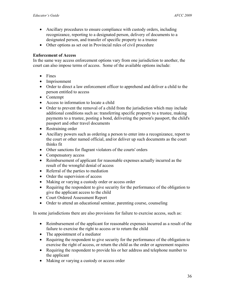- Ancillary procedures to ensure compliance with custody orders, including recognizance, reporting to a designated person, delivery of documents to a designated person, and transfer of specific property to a trustee
- Other options as set out in Provincial rules of civil procedure

#### **Enforcement of Access**

In the same way access enforcement options vary from one jurisdiction to another, the court can also impose terms of access. Some of the available options include:

- Fines
- Imprisonment
- Order to direct a law enforcement officer to apprehend and deliver a child to the person entitled to access
- Contempt
- Access to information to locate a child
- Order to prevent the removal of a child from the jurisdiction which may include additional conditions such as: transferring specific property to a trustee, making payments to a trustee, posting a bond, delivering the person's passport, the child's passport and other travel documents
- Restraining order
- Ancillary powers such as ordering a person to enter into a recognizance, report to the court or other named official, and/or deliver up such documents as the court thinks fit
- Other sanctions for flagrant violators of the courts' orders
- Compensatory access
- Reimbursement of applicant for reasonable expenses actually incurred as the result of the wrongful denial of access
- Referral of the parties to mediation
- Order the supervision of access
- Making or varying a custody order or access order
- Requiring the respondent to give security for the performance of the obligation to give the applicant access to the child
- Court Ordered Assessment Report
- Order to attend an educational seminar, parenting course, counseling

In some jurisdictions there are also provisions for failure to exercise access, such as:

- Reimbursement of the applicant for reasonable expenses incurred as a result of the failure to exercise the right to access or to return the child
- The appointment of a mediator
- Requiring the respondent to give security for the performance of the obligation to exercise the right of access, or return the child as the order or agreement requires
- Requiring the respondent to provide his or her address and telephone number to the applicant
- Making or varying a custody or access order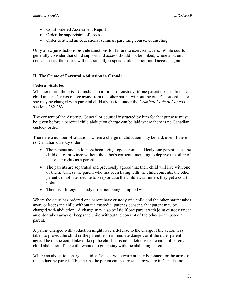- Court ordered Assessment Report
- Order the supervision of access
- Order to attend an educational seminar, parenting course, counseling

Only a few jurisdictions provide sanctions for failure to exercise access. While courts generally consider that child support and access should not be linked, where a parent denies access, the courts will occasionally suspend child support until access is granted.

## **II. The Crime of Parental Abduction in Canada**

#### **Federal Statutes**

Whether or not there is a Canadian court order of custody, if one parent takes or keeps a child under 14 years of age away from the other parent without the other's consent, he or she may be charged with parental child abduction under the *Criminal Code of Canada*, sections 282-283.

The consent of the Attorney General or counsel instructed by him for that purpose must be given before a parental child abduction charge can be laid where there is no Canadian custody order.

There are a number of situations where a charge of abduction may be laid, even if there is no Canadian custody order:

- The parents and child have been living together and suddenly one parent takes the child out of province without the other's consent, intending to deprive the other of his or her rights as a parent.
- The parents are separated and previously agreed that their child will live with one of them. Unless the parent who has been living with the child consents, the other parent cannot later decide to keep or take the child away, unless they get a court order.
- There is a foreign custody order not being complied with.

Where the court has ordered one parent have custody of a child and the other parent takes away or keeps the child without the custodial parent's consent, that parent may be charged with abduction. A charge may also be laid if one parent with joint custody under an order takes away or keeps the child without the consent of the other joint custodial parent.

A parent charged with abduction might have a defense to the charge if the action was taken to protect the child or the parent from immediate danger, or if the other parent agreed he or she could take or keep the child. It is not a defense to a charge of parental child abduction if the child wanted to go or stay with the abducting parent.

Where an abduction charge is laid, a Canada-wide warrant may be issued for the arrest of the abducting parent. This means the parent can be arrested anywhere in Canada and